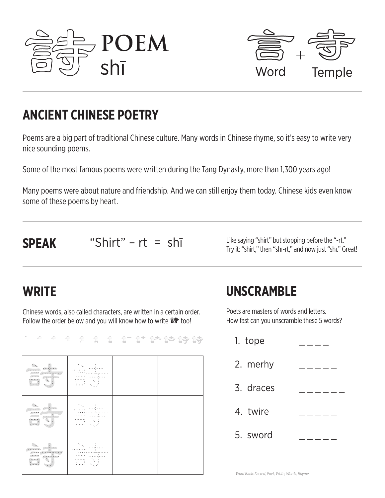



## **ANCIENT CHINESE POETRY**

Poems are a big part of traditional Chinese culture. Many words in Chinese rhyme, so it's easy to write very nice sounding poems.

Some of the most famous poems were written during the Tang Dynasty, more than 1,300 years ago!

Many poems were about nature and friendship. And we can still enjoy them today. Chinese kids even know some of these poems by heart.

**SPEAK** "Shirt" – rt = shi Try it: "shirt," then "shī-rt," and now just "shī." Great!

## **WRITE**

Chinese words, also called characters, are written in a certain order. Follow the order below and you will know how to write 詩 too!

↑ ⇒ ⇒ † † † † † † † † † † † † † †

| àt<br>$\mathcal{D}_{\mathcal{D}_{\mathcal{D}}}$<br>.            | $\sim 10$<br><b>EXAMPLE</b>                                                      |  |
|-----------------------------------------------------------------|----------------------------------------------------------------------------------|--|
| !!<br>$\mathcal{D}_{\mathcal{D}_{\mathcal{D}}}$<br>.<br>Eÿ<br>m | <br><u> - - - - - - - -</u><br>- - - - - - - -<br>ming<br>Alba<br>$\sim 10^{11}$ |  |
| 寺                                                               | $\mathcal{D}_{\mathcal{A},\mathcal{C}}$<br>1.1.1.1.1                             |  |

## **UNSCRAMBLE**

Poets are masters of words and letters. How fast can you unscramble these 5 words?

| 1. tope   |  |
|-----------|--|
| 2. merhy  |  |
| 3. draces |  |
| 4. twire  |  |
| 5. sword  |  |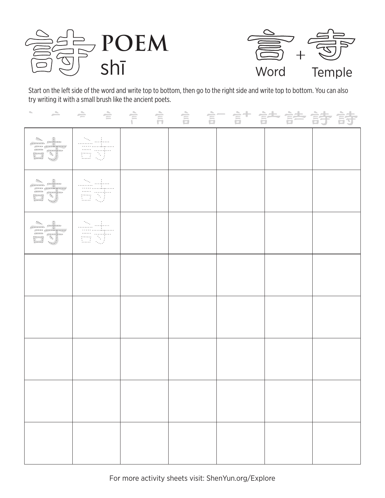



Start on the left side of the word and write top to bottom, then go to the right side and write top to bottom. You can also try writing it with a small brush like the ancient poets.

| at-      |  |  |  |
|----------|--|--|--|
| at<br>av |  |  |  |
| àt       |  |  |  |
|          |  |  |  |
|          |  |  |  |
|          |  |  |  |
|          |  |  |  |
|          |  |  |  |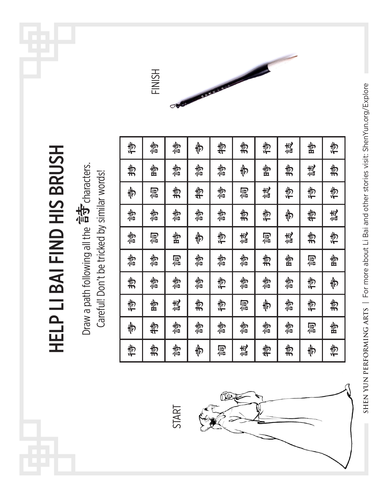Draw a path following all the <sup>슬슬</sup> characters.<br>Careful! Don't be tricked by similar words! Draw a path following all the 音**寸** characters. Careful! Don't be tricked by similar words!

HELP LI BAI FIND HIS BRUSH

**HELP LI BAI FIND HIS BRUSH** 

| 信  | 物  | 物  | 韦  | 告  | 捣  | 传  | 袁  | 步  | 仓 |
|----|----|----|----|----|----|----|----|----|---|
| お  | 齿  | 物心 | 物  | 物  | 韦  | 雪  | 捣  | 袁  | 捣 |
| 师  | 同信 | 捣  | 特  | 制造 | 同信 | 袁表 | 传  | 信  | 倚 |
| 物  | 物  | 物心 | 物仙 | 物  | 捣  | 危  | 韦  | 势  | 袁 |
| 制造 | 同信 | 齿  | 师  | や  | 袁  | 同信 | 袁  | お  | 信 |
| 物  | 物  | 同信 | 物  | 物  | 物仙 | 捣  | 齿  | 同信 | 雪 |
| 捣  | 物  | 物  | 物  | 仓  | 物  | 制管 | 物  | 仓  | 韦 |
| 仓  | 齿  | 袁  | 捣  | 危  | 同信 | 巾  | 物  | 炮  | 捣 |
| 韦  | 特  | 物信 | 物  | 物信 | 物  | 制造 | 物心 | 同信 | 齿 |
| 倚  | 捣  | 物  | 韦  | 同信 | 袁表 | 势  | 捣  | 恻  | 仓 |

FINISH

SHEN YUN PERFORMING ARTS | For more about Li Bai and other stories visit: ShenYun.org/Explore **SHEN YUN PERFORMING ARTS** | For more about Li Bai and other stories visit: ShenYun.org/Explore

START